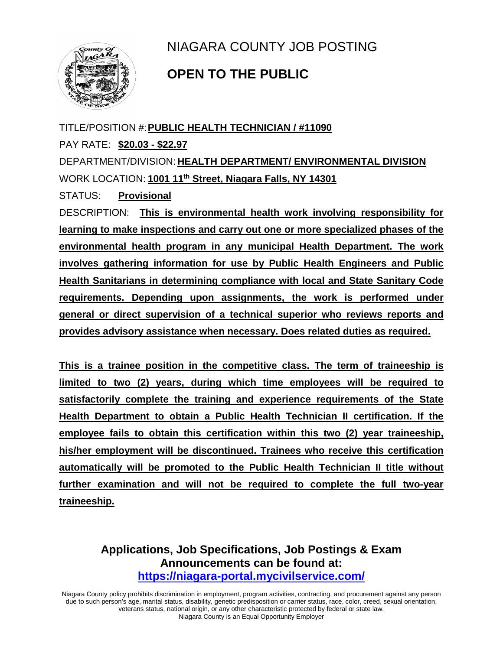

NIAGARA COUNTY JOB POSTING

## **OPEN TO THE PUBLIC**

TITLE/POSITION #:**PUBLIC HEALTH TECHNICIAN / #11090** PAY RATE: **\$20.03 - \$22.97** DEPARTMENT/DIVISION: **HEALTH DEPARTMENT/ ENVIRONMENTAL DIVISION** WORK LOCATION: **1001 11th Street, Niagara Falls, NY 14301** STATUS: **Provisional** DESCRIPTION: **This is environmental health work involving responsibility for learning to make inspections and carry out one or more specialized phases of the environmental health program in any municipal Health Department. The work involves gathering information for use by Public Health Engineers and Public Health Sanitarians in determining compliance with local and State Sanitary Code requirements. Depending upon assignments, the work is performed under general or direct supervision of a technical superior who reviews reports and provides advisory assistance when necessary. Does related duties as required.**

**This is a trainee position in the competitive class. The term of traineeship is limited to two (2) years, during which time employees will be required to satisfactorily complete the training and experience requirements of the State Health Department to obtain a Public Health Technician II certification. If the employee fails to obtain this certification within this two (2) year traineeship, his/her employment will be discontinued. Trainees who receive this certification automatically will be promoted to the Public Health Technician II title without further examination and will not be required to complete the full two-year traineeship.**

> **Applications, Job Specifications, Job Postings & Exam Announcements can be found at: <https://niagara-portal.mycivilservice.com/>**

Niagara County policy prohibits discrimination in employment, program activities, contracting, and procurement against any person due to such person's age, marital status, disability, genetic predisposition or carrier status, race, color, creed, sexual orientation, veterans status, national origin, or any other characteristic protected by federal or state law. Niagara County is an Equal Opportunity Employer